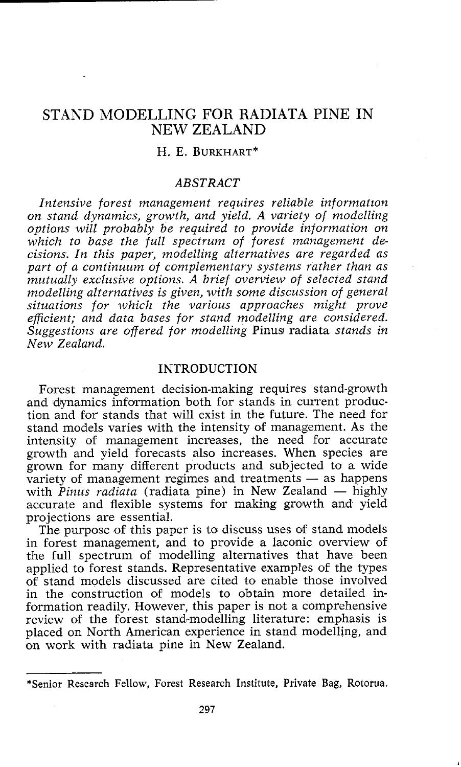# STAND MODELLING FOR RADIATA PINE IN NEW ZEALAND

## H. E. BURKHART\*

### **ABSTRACT**

*Intensive forest management requires reliable informatton on stand dynamics, growth, and yield. A variety of modelling options will probably be required to provide information on which to base the full spectrum of forest management decisions. In this paper, modelling alternatives are regarded as part of a continuum of complementary systems rather than as mutually excltasive options. A brief overview of selected stand m,odelling alternatives is given, with some discussion of general situations for which the various approaches might prove efficient; and data bases for stand modelling are considered. Suggestions are offered for modelling* Pinus radiata *stands in New Zealand.* 

### INTRODUCTION

Forest management decision-making requires stand-growth and dynamics information both for stands in current production and for stands that will exist in the future. The need for stand models varies with the intensity of management. As the intensity of management increases, the need for accurate growth and yield forecasts also increases. When species are grown for many different products and subjected to a wide growth and yield forecasts also increases. When species are<br>grown for many different products and subjected to a wide<br>wariety of management regimes and treatments — as happens<br>with *Rique andiets* (redicts pine) in New Zee variety of management regimes and treatments — as happens with *Pinus radiata* (radiata pine) in New Zealand — highly accurate and flexible systems for making growth and vield projections are essential.

The purpose of this paper is to discuss uses of stand models in forest management, and to provide a laconic overview of the full spectrum of modelling alternatives that have been applied to forest stands. Representative examples of the types of stand models discussed are cited to enable those involved in the construction of models to obtain more detailed information readily. However, this paper is not a comprehensive review of the forest stand-modelling literature: emphasis is placed on North American experience in stand modelling, and on work with radiata pine in New Zealand.

<sup>\*</sup>Senior Research Fellow, Forest Research Institute, Private Bag, Rotorua.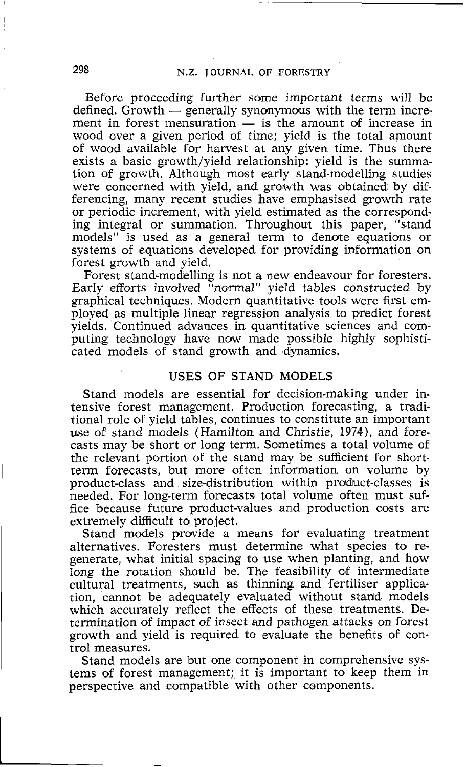Before proceeding further some important terms will be defined. Growth  $-$  generally synonymous with the term increment in forest mensuration  $\overline{\phantom{a}}$  is the amount of increase in wood over a given period of time; yield is the total amount of wood avaiIable for harvest at any given time. Thus there exists a basic growth/yield relationship: yield is the summation of growth. Although most early stand-modelling studies were concerned with yield, and growth was obtained by differencing, many recent studies have emphasised growth rate or periodic increment, with yield estimated as the corresponding integral or summation. Throughout this paper, "stand models" is used as a general term to denote equations or systems of equations developed for providing information on forest growth and yield.

Forest stand-modelling is not a new endeavour for foresters. Early efforts involved "normal" yield tables constructed by graphical techniques. Modern quantitative tools were first employed as multiple linear regression analysis to predict forest yields. Continued advances in quantitative sciences and computing technology have now made possible highly sophisticated models of stand growth and dynamics.

## USES OF STAND MODELS

Stand models are essential for decision-making under intensive forest management. Production forecasting, a traditional role of yield tables, continues to constitute an important use of stand models (Hamilton and Christie, **1974),** and forecasts may be short or long term. Sometimes a total volume of the relevant portion of the stand may be sufficient for shortterm forecasts, but more often information on volume by product-class and size-distribution within product-classes is needed. For long-term forecasts total volume often must suffice because future product-values and production costs are extremely difficult to project.

Stand models provide a means for evaluating treatment alternatives. Foresters must determine what species to regenerate, what initial spacing to use when planting, and how long the rotation should be. The feasibility of intermediate cultural treatments, such as thinning and fertiliser application, cannot be adequately evaluated without stand models which accurately reflect the effects of these treatments. Determination of impact of insect and pathogen attacks on forest growth and yield is required to evaluate the benefits of control measures.

Stand models are but one component in comprehensive systems of forest management; it is important to keep them in perspective and compatible with other components.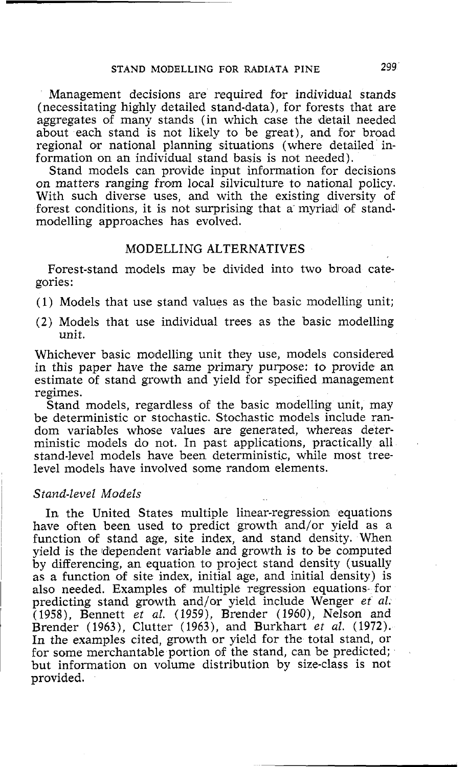## **STAND MODELLING FOR RADIATA PINE** 299

Management decisions are required for individual stands (necessitating highly detailed stand-data), for forests that are aggregates of many stands (in which case the detail needed about each stand is not likely to be great), and for broad regional or national planning situations (where detailed information on an individual stand basis is not needed).

Stand models can provide input information for decisions on matters ranging from local silviculture to national policy. With such diverse uses, and with the existing diversity of forest conditions, it is not surprising that a myriad of standmodelling approaches has evolved.

### MODELLING ALTERNATIVES

Forest-stand models may be divided into two broad categories:

(1) Models that use stand values as the basic modelling unit;

(2) Models that use individual trees as the basic modelling unit.

Whichever basic modelling unit they use, models considered in this paper have the same primary purpose: to provide an estimate of stand growth and yield for specified management regimes.

Stand models, regardless of the basic modelling unit, may be deterministic or stochastic. Stochastic models include random variables whose values are generated, whereas deterministic models do not. In past applications, practically all stand-level models have been deterministic, while most treelevel models have involved some random elements.

### *Stand-level Models*

In the United States multiple linear-regression equations have often been used to predict growth and/or yield as a function of stand age, site index, and stand density. When yield is the dependent variable and growth is to be computed by differencing, an equation to project stand density (usually as a function of site index, initial age, and initial density) is also needed. Examples of multiple regression equations- for predicting stand growth and/or yield include Wenger *et al.*  (1958), Bennett *et al.* (1959), Brender (1960), Nelson and Brender (1963), Clutter (1963), and Burkhart *et al.* (1972). In the examples cited, growth or yield for the total stand, or for some merchantable portion of the stand, can be predicted; but information on volume distribution by size-class is not provided.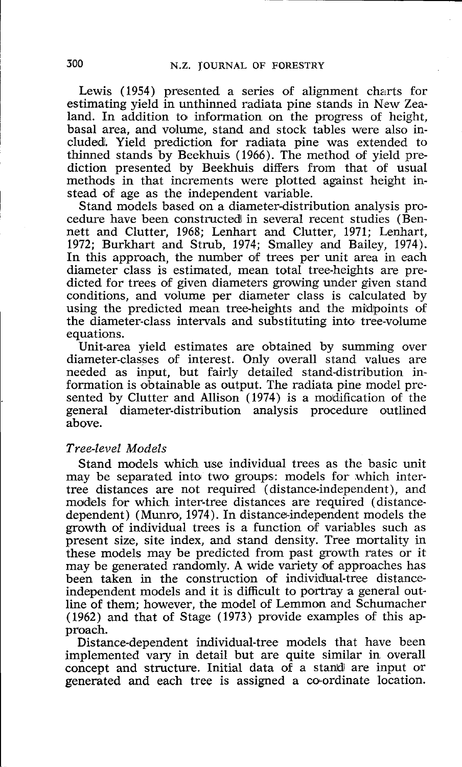Lewis (1954) presented a series of alignment charts for estimating yield in unthinned radiata pine stands in New Zealand. In addition to information on the progress of height, basal area, and volume, stand and stock tables were also included. Yield prediction for radiata pine was extended to thinned stands by Beekhuis (1966). The method of yield prediction presented by Beekhuis differs from that of usual methods in that increments were plotted against height instead of age as the independent variable.

Stand models based on a diameter-distribution analysis procedure have been constructed in several recent studies (Bennett and Clutter, 1968; Lenhart and Clutter, 1971; Lenhart, 1972; Burkhart and Strub, 1974; Smalley and Bailey, 1974). In this approach, the number of trees per unit area in each diameter class is estimated, mean total tree-heights are predicted for trees of given diameters growing under given stand conditions, and volume per diameter class is calculated by using the predicted mean tree-heights and the midpoints of the diameter-class intervals and substituting into tree-volume equations.

Unit-area yield estimates are obtained by summing over diameter-classes of interest. Only overall stand values are needed as input, but fairly detailed stand-distribution information is obtainable as output. The radiata pine model presented by Clutter and Allison (1974) is a modification of the general diameter-distribution analysis procedure outlined above.

#### *Tree-level Models*

Stand models which use individual trees as the basic unit may be separated into two groups: models for which intertree distances are not required (distance-independent), and models for which inter-tree distances are required (distancedependent) (Munro, 1974). In distance-independent models the growth of individual trees is a function of variables such as present size, site index, and stand density. Tree mortality in these models may be predicted from past growth rates or it may be generated randomly. A wide variety of approaches has been taken in the construction of individual-tree distanceindependent models and it is difficult to portray a general outline of them; however, the model of Lemmon and Schumacher (1962) and that of Stage (1973) provide examples of this approach.

Distance-dependent individual-tree models that have been implemented vary in detail but are quite similar in overall concept and structure. Initial data of a stand are input or generated and each tree is assigned a coordinate location.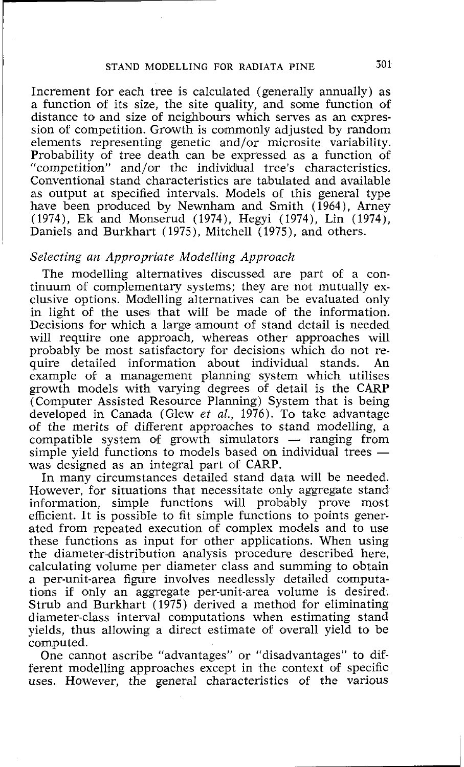## **STAND MODELLING FOR RADIATA PINE 501**

Increment for each tree is calculated (generally annually) as a function of its size, the site quality, and sorme function of distance to and size of neighbours which serves as an expression of competition. Growth is commonly adjusted by random elements representing genetic and/or microsite variability. Probability of tree death can be expressed as a function of "competition" and/or the individiual tree's characteristics. Conventional stand characteristics are tabulated and available as output at specified intervals. Models of this general type have been produced by Newnham and Smith (1964), Arney (1974), Ek and Monserud (1974), Hegyi (1974), Lin (1974), Daniels and Burkhart (1975), Mitchell (1975), and others.

### *Selecting an Appropriate Modelling Approach*

The modelling alternatives discussed are part of a continuum of complementary systems; they are not mutually exclusive options. Modelling alternatives can be evaluated only in light of the uses that will be made of the information. Decisions for which a large amount of stand detail is needed will require one approach, whereas other approaches will probably be most satisfactory for decisions which do not require detailed information about individual stands. An example of a management planning system which utilises growth models with varying degrees of detail is the CARP (Computer Assisted Resource Planning) System that is being developed in Canada (Glew *et al.,* 1976). To take advantage of the merits of different approaches to stand modelling, a developed in Canada (Glew *et al.*, 1976). To take advantage<br>of the merits of different approaches to stand modelling, a<br>compatible system of growth simulators — ranging from<br>simula viald functions to models besed on indiv of the merits of different approaches to stand modelling, a<br>compatible system of growth simulators — ranging from<br>simple yield functions to models based on individual trees —<br>since designed as an interval part of  $C_{AB}P$ was designed as an integral part of CARP.

In many circumstances detailed stand data will be needed. However, for situations that necessitate only aggregate stand information, simple functions will probably prove most efficient. It is possible to fit simple functions to points generated from repeated execution of complex models and to use these functions as input for other applications. When using the diameter-distribution analysis procedure described here, calculating volume per diameter class and summing to obtain a per-unit-area figure involves needlessly detailed computations if only an aggregate per-unit-area volume is desired. Strub and Burkhart (1975) derived a methold for eliminating diameter-class interval computations when estimating stand yields, thus allowing a direct estimate of overall yield to be computed.

One cannot ascribe "advantages" or "disadvantages" to different modelling approaches except in the context of specific uses. However, the general characteristics of the various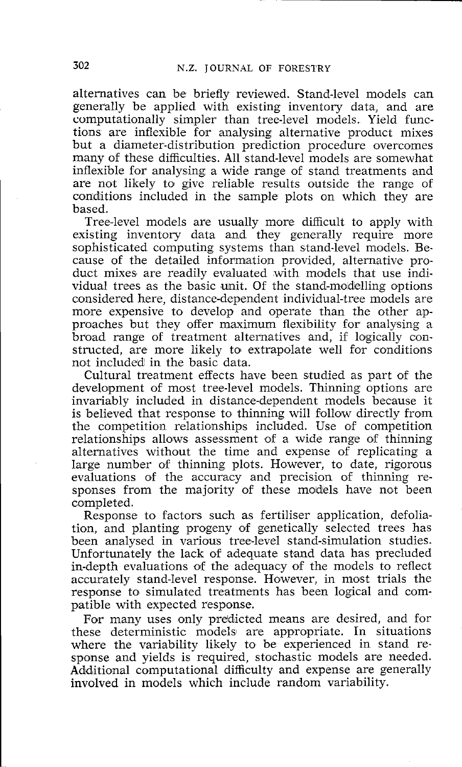alternatives can be briefly reviewed. Stand-level models can generally be applied with existing inventory data, and are computationally simpler than tree-level models. Yield functions are inflexible for analysing alternative product mixes but a diameter-distribution prediction procedure overcomes many of these difficulties. All stand-level models are somewhat inflexible for analysing a wide range of stand treatments and are not likely to give reliable results outside the range of conditions included in the sample plots on which they are based.

Tree-level models are usually more difficult to apply with existing inventory data and they generally require more sophisticated computing systems than stand-level models. Because of the detailed information provided, alternative product mixes are readily evaluated with models that use individual trees as the basic unit. Of the stand-modelling options considered here, distance-dependent individual-tree models are more expensive to develop and operate than the other approaches but they offer maximum flexibility for analysing a broad range of treatment alternatives and, if logically constructed, are more likely to extrapolate well for conditions not included in the basic data.

Cultural treatment effects have been studied as part of the development of most tree-level models. Thinning options are invariably included in distance-dependent models because it is believed that response to thinning will follow directly from the competition relationships included. Use of competition relationships allows assessment of a wide range of thinning alternatives without the time and expense of replicating a large number of thinning plots. However, to date, rigorous evaluations of the accuracy and precision of thinning responses from the majority of these models have not been completed.

Response to factors such as fertiliser application, defoliation, and planting progeny of genetically selected trees has been analysed in various tree-level stand-simulation studies. Unfortunately the lack of adequate stand data has precluded in-depth evaluations of the adequacy of the models to reflect accurately stand-level response. However, in most trials the response to simulated treatments has been logical and compatible with expected response.

For many uses only predicted means are desired, and for these deterministic models! are appropriate. In situations where the variability likely to be experienced in stand response and yields is required, stochastic models are needed. Additional computational difficulty and expense are generally involved in models which include random variability.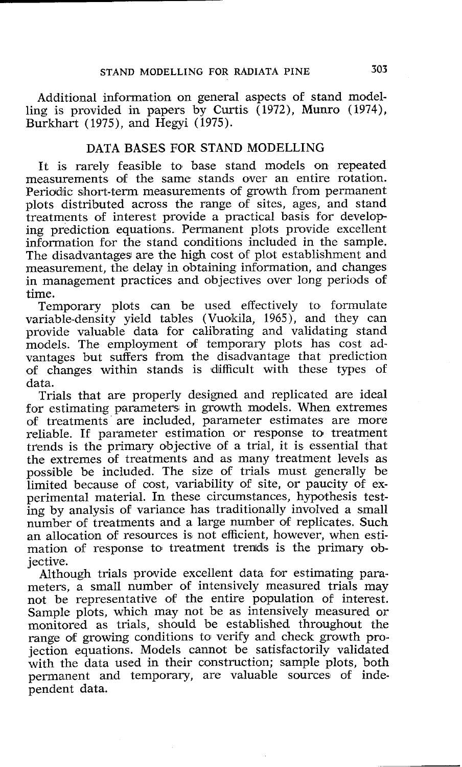Additional information on general aspects of stand modelling is provided in papers by Curtis (1972), Munro (1974), Burkhart ( 1975), and Hegyi ( 1975).

## DATA BASES FOR STAND MODELLING

It is rarely feasible to base stand models on repeated measurements of the same stands over an entire rotation. Periodic short-term measurements of growth from permanent plots distributed across the range of sites, ages, and stand treatments of interest provide a practical basis for develop ing prediction equations. Permanent plots provide excellent information for the stand conditions included in the sample. The disadvantages are the high cost of plot establishment and measurement, the delay in obtaining information, and changes in management practices and objectives over long periods of time.

Temporary plots can be used effectively to formulate variable-density yield tables (Vuokila, 1965), and they can provide valuable data for calibrating and validating stand models. The employment of temporary plots has cost advantages but suffers from the disadvantage that prediction of changes within stands is ldifficult with these types of data.

Trials that are properly designed and replicated are ideal for estimating parameters in growth models. When extremes of treatments are included, parameter estimates are more reliable. If parameter estimation or response to treatment trends is the primary objective of a trial, it is essential that the extremes of treatments and as many treatment levels as possible be included. The size of trials must generally be limited because of cost, variability of site, or paucity of experimental material. In these circumstances, hypothesis testing by analysis of variance has traditionally involved a small number of treatments and a large number of replicates. Such an allocation of resources is not efficient, however, when estimation of response to treatment trends is the primary objective.

Although trials provide excellent data for estimating parameters, a small number of intensively measured trials may not be representative of the entire population of interest. Sample plots, which may not be as intensively measured or monitored as trials, should be established throughout the range of growing conditions to verify and check growth proiection equations. Models cannot be satisfactorily validated with the data used in their construction; sample plots, both permanent and temporary, are valuable sources of independent data.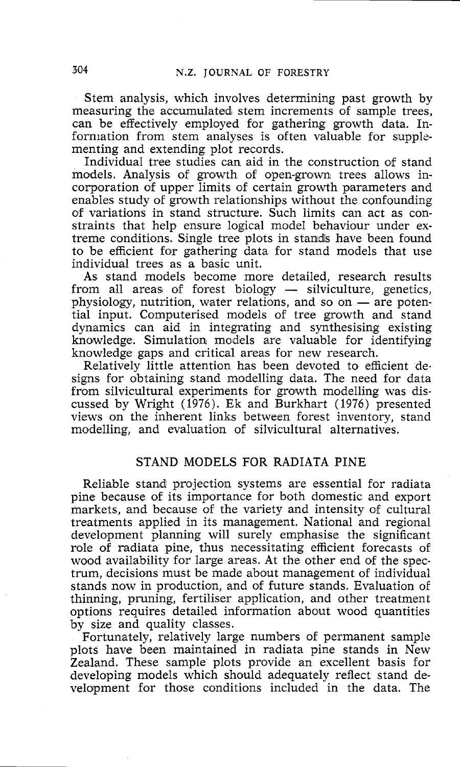Stem analysis, which involves determining past growth by measuring the accumulated stem increments of sample trees, can be effectively employed for gathering growth data. Information from stem analyses is often valuable for supplementing and extending plot records.

Individual tree studies can aid in the construction of stand models. Analysis of growth of open-grown trees allows incorporation of upper limits of certain growth parameters and enables study of growth relationships without the confounding of variations in stand structure. Such limits can act as constraints that help ensure logical model behaviour under extreme conditions. Single tree plots in stands have been found to be efficient for gathering data for stand models that use individual trees as a basic unit.

As stand models become more detailed, research results individual trees as a basic unit.<br>As stand models become more detailed, research results<br>from all areas of forest biology — silviculture, genetics,<br>physiology nutrition water relations and so on are notenfrom all areas of forest biology  $-$  silviculture, genetics, physiology, nutrition, water relations, and so on  $-$  are potential input. Computerised models of tree growth and stand dynamics can aid in integrating and synthesising existing knowledge. Simulation models are valuable for identifying knowledge gaps and critical areas for new research.

Relatively little attention has been devoted to efficient designs for obtaining stand modelling data. The need for data from silvicultural experiments for growth modelling was discussed by Wright ( 1976). Ek and Burkhart ( 1976) presented views on the inherent links between forest inventory, stand modelling, and evaluation of silvicultural alternatives.

## STAND MODELS FOR RADIATA PINE

Reliable stand projection systems are essential for radiata pine because of its importance for both domestic and export markets, and because of the variety and intensity of cultural treatments applied in its management. National and regional development planning will surely emphasise the significant role of radiata pine, thus necessitating efficient forecasts of wood availability for large areas. At the other end of the spectrum, decisions must be made about management of individual stands now in production, and of future stands. Evaluation of thinning, pruning, fertiliser application, and other treatment options requires detailed information about wood quantities by size and quality classes.

Fortunately, relatively large numbers of permanent sample plots have been maintained in radiata pine stands in New Zealand. These sample plots provide an excellent basis for developing models which should adequately reflect stand development for those conditions included in the data. The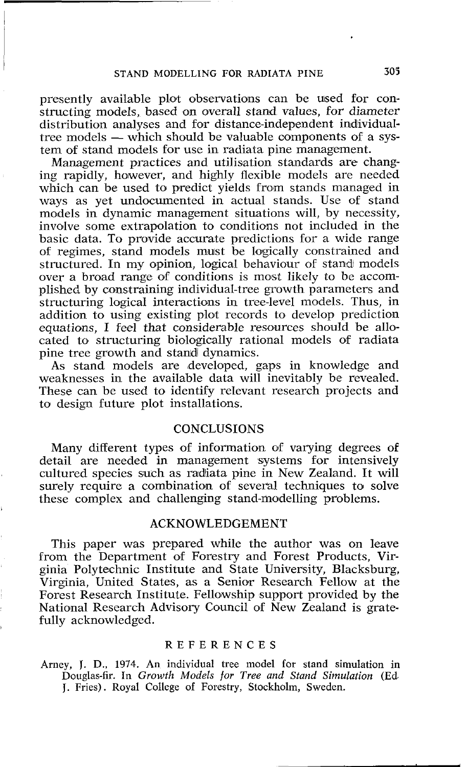presently available plot observations can be uised for constructing models, based on overall stand values, for diameter distribution analyses and for distance-independent individual-<br>tree models — which should be valuable components of a sys-<br>tem of stand models for use in redist distribution analyses and for distance-independent individual-<br>tree models — which should be valuable components of a system of stand models for use in radiata pine management.

Management practices and utilisation standards are changing rapidly, however, and highly flexible models are needed which can be used to predict yields from stands managed in ways as yet undocumented in actual stands. Use of stand models in dynamic management situations will, by necessity, involve some extrapolation to conditions not included in the basic data. To provide accurate predictions for a wide range of regimes, stand models must be logically constrained and structured. In my opinion, logical behaviour of stand models over a broad range of conditions is most likely to be accomplished by constraining individual-tree growth parameters and structuring logical interactions in tree-level models. Thus, in addition to using existing plot records to develop prediction equations, I feel that considerable resources should be allocated to structuring biologically rational moldels 06 radiata pine tree growth and stand dynamics.

As stand models are developed, gaps in knowledge and weaknesses in the available data will inevitably be revealed. These can be used to identify relevant research projects and to design future plot installations.

## **CONCLUSIONS**

Many different types of information of varying degrees of detail are needed in management systems for intensively cultured species such as radiata pine in New Zealand. It will surely require a combination of several techniques to solve these complex and challenging stand-moldelling problems.

### ACKNOWLEDGEMENT

This paper was prepared while the author was on leave from the Department of Forestry and Forest Products, Virginia Polytechnic Institute and State University, Blacksburg, Virginia, United States, as a Senior Research Fellow at the Forest Research Institute. Fellowship support provided by the National Research Advisory Council of New Zealand is gratefully acknowledged.

#### REFERENCES

Arney, J. D., 1974. An individual tree model for stand simulation in Douglas-fir. In *Growth Models for Tree and Stand Simulation (Ed J.* Fries). Royal College of Forestry, Stockholm, Sweden.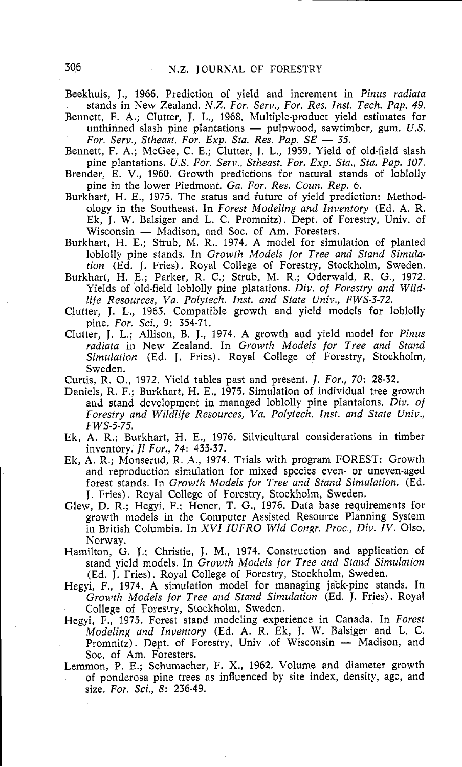Beekhuis, J., 1966. Prediction of yield and increment in *Pinus radiata*  stands in New Zealand. N.Z. *For. Serv., For. Res. Inst. Tech. Pap. 49.* 

Bennett, F. A,; CIutter, J. L., 1968. Multiple-product yield estimates for stands in New Zealand. *N.Z. For. Serv., For. Res. Inst. Tech. Pap. 49.*<br>hett, F. A.; Clutter, J. L., 1968. Multiple-product yield estimates for<br>unthinned slash pine plantations — pulpwood, sawtimber, gum. *U.S.*<br>For Serv. *Form. For. Serv., Stategy. For. I., 1968. Multiple-product yield*<br> *For. Serv., Stheast. For. Exp. Sta. Res. Pap. SE — 35.*<br> *For. Serv., Stheast. For. Exp. Sta. Res. Pap. SE — 35.*<br> **1959** *Yield* 

Bennett, F. A,; McGee, C. E.; Clutter, J. L., 1959. Yield of old-field slash pine plantations. *US. For. Serv., Stheast. For. Exp. Sta., Sta. Pap. 107.* 

- Brender, *E. V.,* 1960. Growth predictions for natural stands of loblolly pine in the lower Piedmont. *Ga. For. Res. Coun. Rep. 6.*
- Burkhart, H. E., 1975. The status and future of yield prediction: Methodology in the Southeast. In *Forest Modeling and Inventory* (Ed. A. R. Ek, J. W. Balsiger and L. C. Promnitz). Dept. of Forestry, Univ. of Wisconsin - Madison, and Soc. of Am. Foresters.
- Burkhart, H. E.; Strub, M. R., 1974. A model for simulation of planted loblolly pine stands. In *Growth Models for Tree and Stand Simulation* (Ed. J. Fries). Royal College of Forestry, Stockholm, Sweden.
- Burkhart, H. E.; Parker, R. C.; Strub, M. R.; Oderwald, R. G., 1972. Yields of old-field loblolly pine platations. *Div, of Forestry and Wildlife Resources, Va. Polytech. Inst. and State Univ., FWS-3-72.*
- Clutter, J. L., 1963. Compatible growth and yield models for loblolly pine. *For. Sci.,* 9: 354-71.
- Clutter, J. L.; Allison, B. J., 1974. A growth and yield model for *Pinus radiata* in New Zealand. In *Growth Models for Tree and Stand Simulation* (Ed. J. Fries). Royal College of Forestry, Stockholm, Sweden.
- Curtis, R. O., 1972. Yield tables past and present. 1. *For., 70:* 28-32.
- Daniels, R. F.; Burkhart, H. E., 1975. Simulation of individual tree growth and stand development in managed loblolly pine plantaions. *Div, of Forestry and Wildlife Resources, Va. Polytech. Inst. and State Univ., FWS-5-75.*
- Ek, A. R.; Burkhart, H. E., 1976. Silvicultural considerations in timber inventory. *Jl For., 74:* 435-37.
- Ek, A. **R.;** Monserud, R. A., 1974. Trials with program FOREST: Growth and reproduction simulation for mixed species even- or uneven-aged forest stands. In *Growth Models for Tree and Stand Simulation.* (Ed. J. Fries). Royal College of Forestry, Stockholm, Sweden.
- Glew, D. R.; Hegyi, F.; Honer, T. G., 1976. Data base requirements for growth models in the Computer Assisted Resource Planning System in British Columbia. In *XVI IUFRO Wld Congr. Proc., Div. IV.* Olso, Norway.
- Hamilton, G. J.; Christie, J. M., 1974. Construction and application of stand yield models. In *Growth Models for Tree and Stand Simulation*  (Ed. J. Fries). Royal College of Forestry, Stockholm, Sweden.
- Hegyi, F., 1974. A simulation model for managing jack-pine stands. In *Growth Models for Tree and Stand Simulation* (Ed. J. Fries). Royal College of Forestry, Stockholm, Sweden.
- Hegyi, F., 1975. Forest stand modeling experience in Canada. In *Forest Modeling and Inventory* (Ed. A. R. Ek, J. W. Balsiger and L. C. ri, F., 1975. Forest stand modeling experience in Canada. In *Forest* Modeling and Inventory (Ed. A. R. Ek, J. W. Balsiger and L. C. Promnitz). Dept. of Forestry, Univ .of Wisconsin — Madison, and Soc. of Am. Foresters.
- Lemmon, P. E.; Schumacher, F. X., 1962. Volume and diameter growth of ponderosa pine trees as influenced by site index, density, age, and size. *For. Sci.,* 8: 236-49.